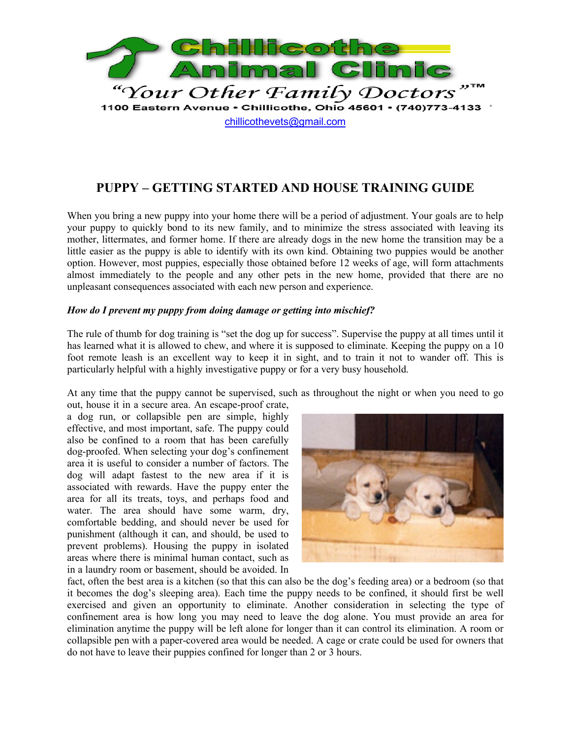

# **PUPPY – GETTING STARTED AND HOUSE TRAINING GUIDE**

When you bring a new puppy into your home there will be a period of adjustment. Your goals are to help your puppy to quickly bond to its new family, and to minimize the stress associated with leaving its mother, littermates, and former home. If there are already dogs in the new home the transition may be a little easier as the puppy is able to identify with its own kind. Obtaining two puppies would be another option. However, most puppies, especially those obtained before 12 weeks of age, will form attachments almost immediately to the people and any other pets in the new home, provided that there are no unpleasant consequences associated with each new person and experience.

# *How do I prevent my puppy from doing damage or getting into mischief?*

The rule of thumb for dog training is "set the dog up for success". Supervise the puppy at all times until it has learned what it is allowed to chew, and where it is supposed to eliminate. Keeping the puppy on a 10 foot remote leash is an excellent way to keep it in sight, and to train it not to wander off. This is particularly helpful with a highly investigative puppy or for a very busy household.

At any time that the puppy cannot be supervised, such as throughout the night or when you need to go

out, house it in a secure area. An escape-proof crate, a dog run, or collapsible pen are simple, highly effective, and most important, safe. The puppy could also be confined to a room that has been carefully dog-proofed. When selecting your dog's confinement area it is useful to consider a number of factors. The dog will adapt fastest to the new area if it is associated with rewards. Have the puppy enter the area for all its treats, toys, and perhaps food and water. The area should have some warm, dry, comfortable bedding, and should never be used for punishment (although it can, and should, be used to prevent problems). Housing the puppy in isolated areas where there is minimal human contact, such as in a laundry room or basement, should be avoided. In



fact, often the best area is a kitchen (so that this can also be the dog's feeding area) or a bedroom (so that it becomes the dog's sleeping area). Each time the puppy needs to be confined, it should first be well exercised and given an opportunity to eliminate. Another consideration in selecting the type of confinement area is how long you may need to leave the dog alone. You must provide an area for elimination anytime the puppy will be left alone for longer than it can control its elimination. A room or collapsible pen with a paper-covered area would be needed. A cage or crate could be used for owners that do not have to leave their puppies confined for longer than 2 or 3 hours.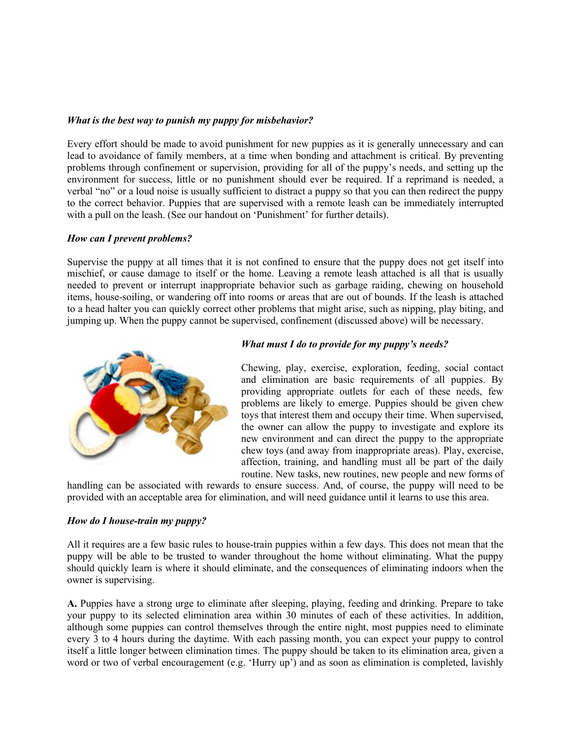## *What is the best way to punish my puppy for misbehavior?*

Every effort should be made to avoid punishment for new puppies as it is generally unnecessary and can lead to avoidance of family members, at a time when bonding and attachment is critical. By preventing problems through confinement or supervision, providing for all of the puppy's needs, and setting up the environment for success, little or no punishment should ever be required. If a reprimand is needed, a verbal "no" or a loud noise is usually sufficient to distract a puppy so that you can then redirect the puppy to the correct behavior. Puppies that are supervised with a remote leash can be immediately interrupted with a pull on the leash. (See our handout on 'Punishment' for further details).

### *How can I prevent problems?*

Supervise the puppy at all times that it is not confined to ensure that the puppy does not get itself into mischief, or cause damage to itself or the home. Leaving a remote leash attached is all that is usually needed to prevent or interrupt inappropriate behavior such as garbage raiding, chewing on household items, house-soiling, or wandering off into rooms or areas that are out of bounds. If the leash is attached to a head halter you can quickly correct other problems that might arise, such as nipping, play biting, and jumping up. When the puppy cannot be supervised, confinement (discussed above) will be necessary.



### *What must I do to provide for my puppy's needs?*

Chewing, play, exercise, exploration, feeding, social contact and elimination are basic requirements of all puppies. By providing appropriate outlets for each of these needs, few problems are likely to emerge. Puppies should be given chew toys that interest them and occupy their time. When supervised, the owner can allow the puppy to investigate and explore its new environment and can direct the puppy to the appropriate chew toys (and away from inappropriate areas). Play, exercise, affection, training, and handling must all be part of the daily routine. New tasks, new routines, new people and new forms of

handling can be associated with rewards to ensure success. And, of course, the puppy will need to be provided with an acceptable area for elimination, and will need guidance until it learns to use this area.

# *How do I house-train my puppy?*

All it requires are a few basic rules to house-train puppies within a few days. This does not mean that the puppy will be able to be trusted to wander throughout the home without eliminating. What the puppy should quickly learn is where it should eliminate, and the consequences of eliminating indoors when the owner is supervising.

**A.** Puppies have a strong urge to eliminate after sleeping, playing, feeding and drinking. Prepare to take your puppy to its selected elimination area within 30 minutes of each of these activities. In addition, although some puppies can control themselves through the entire night, most puppies need to eliminate every 3 to 4 hours during the daytime. With each passing month, you can expect your puppy to control itself a little longer between elimination times. The puppy should be taken to its elimination area, given a word or two of verbal encouragement (e.g. 'Hurry up') and as soon as elimination is completed, lavishly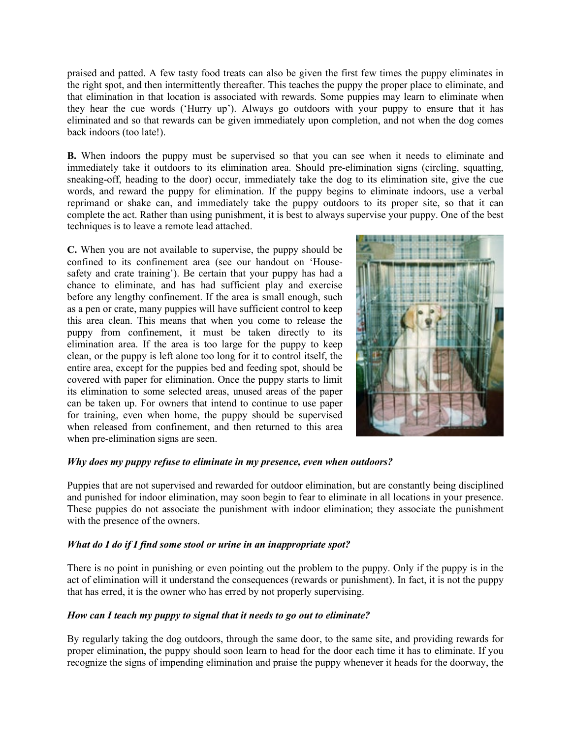praised and patted. A few tasty food treats can also be given the first few times the puppy eliminates in the right spot, and then intermittently thereafter. This teaches the puppy the proper place to eliminate, and that elimination in that location is associated with rewards. Some puppies may learn to eliminate when they hear the cue words ('Hurry up'). Always go outdoors with your puppy to ensure that it has eliminated and so that rewards can be given immediately upon completion, and not when the dog comes back indoors (too late!).

**B.** When indoors the puppy must be supervised so that you can see when it needs to eliminate and immediately take it outdoors to its elimination area. Should pre-elimination signs (circling, squatting, sneaking-off, heading to the door) occur, immediately take the dog to its elimination site, give the cue words, and reward the puppy for elimination. If the puppy begins to eliminate indoors, use a verbal reprimand or shake can, and immediately take the puppy outdoors to its proper site, so that it can complete the act. Rather than using punishment, it is best to always supervise your puppy. One of the best techniques is to leave a remote lead attached.

**C.** When you are not available to supervise, the puppy should be confined to its confinement area (see our handout on 'Housesafety and crate training'). Be certain that your puppy has had a chance to eliminate, and has had sufficient play and exercise before any lengthy confinement. If the area is small enough, such as a pen or crate, many puppies will have sufficient control to keep this area clean. This means that when you come to release the puppy from confinement, it must be taken directly to its elimination area. If the area is too large for the puppy to keep clean, or the puppy is left alone too long for it to control itself, the entire area, except for the puppies bed and feeding spot, should be covered with paper for elimination. Once the puppy starts to limit its elimination to some selected areas, unused areas of the paper can be taken up. For owners that intend to continue to use paper for training, even when home, the puppy should be supervised when released from confinement, and then returned to this area when pre-elimination signs are seen.



# *Why does my puppy refuse to eliminate in my presence, even when outdoors?*

Puppies that are not supervised and rewarded for outdoor elimination, but are constantly being disciplined and punished for indoor elimination, may soon begin to fear to eliminate in all locations in your presence. These puppies do not associate the punishment with indoor elimination; they associate the punishment with the presence of the owners.

#### *What do I do if I find some stool or urine in an inappropriate spot?*

There is no point in punishing or even pointing out the problem to the puppy. Only if the puppy is in the act of elimination will it understand the consequences (rewards or punishment). In fact, it is not the puppy that has erred, it is the owner who has erred by not properly supervising.

#### *How can I teach my puppy to signal that it needs to go out to eliminate?*

By regularly taking the dog outdoors, through the same door, to the same site, and providing rewards for proper elimination, the puppy should soon learn to head for the door each time it has to eliminate. If you recognize the signs of impending elimination and praise the puppy whenever it heads for the doorway, the